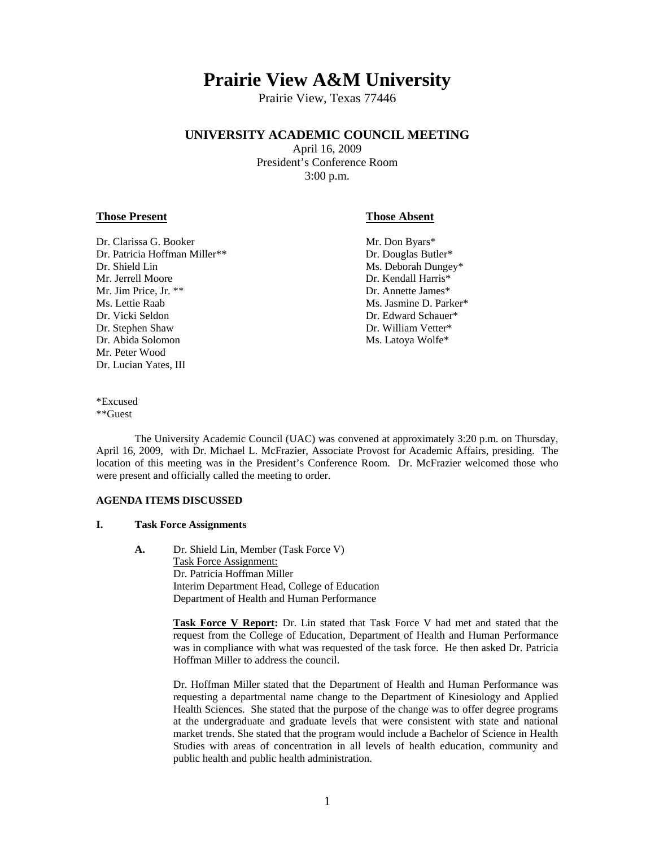# **Prairie View A&M University**

Prairie View, Texas 77446

# **UNIVERSITY ACADEMIC COUNCIL MEETING**

April 16, 2009 President's Conference Room 3:00 p.m.

#### **Those Present Those Absent**

- Dr. Clarissa G. Booker Mr. Don Byars\* Dr. Patricia Hoffman Miller\*\* Dr. Douglas Butler\* Dr. Shield Lin Ms. Deborah Dungey\* Mr. Jerrell Moore **Dr. Kendall Harris**\* Mr. Jim Price, Jr. \*\* Price, 1988. The State James of the United States of the Dr. Annette James of the United States of the United States of the United States of the United States of the United States of the United States Ms. Lettie Raab Ms. Jasmine D. Parker\* Dr. Vicki Seldon **Dr. Edward Schauer\*** Dr. Stephen Shaw Dr. William Vetter\* Dr. Abida Solomon Ms. Latoya Wolfe\* Mr. Peter Wood Dr. Lucian Yates, III
	-

\*Excused \*\*Guest

 The University Academic Council (UAC) was convened at approximately 3:20 p.m. on Thursday, April 16, 2009, with Dr. Michael L. McFrazier, Associate Provost for Academic Affairs, presiding. The location of this meeting was in the President's Conference Room. Dr. McFrazier welcomed those who were present and officially called the meeting to order.

# **AGENDA ITEMS DISCUSSED**

#### **I. Task Force Assignments**

 **A.** Dr. Shield Lin, Member (Task Force V) Task Force Assignment: Dr. Patricia Hoffman Miller Interim Department Head, College of Education Department of Health and Human Performance

> **Task Force V Report:** Dr. Lin stated that Task Force V had met and stated that the request from the College of Education, Department of Health and Human Performance was in compliance with what was requested of the task force. He then asked Dr. Patricia Hoffman Miller to address the council.

> Dr. Hoffman Miller stated that the Department of Health and Human Performance was requesting a departmental name change to the Department of Kinesiology and Applied Health Sciences. She stated that the purpose of the change was to offer degree programs at the undergraduate and graduate levels that were consistent with state and national market trends. She stated that the program would include a Bachelor of Science in Health Studies with areas of concentration in all levels of health education, community and public health and public health administration.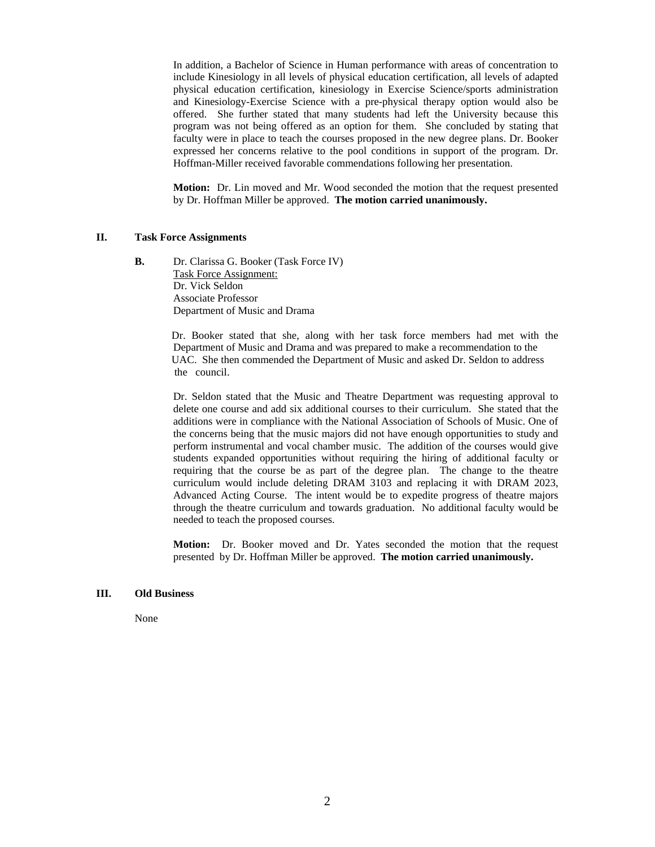In addition, a Bachelor of Science in Human performance with areas of concentration to include Kinesiology in all levels of physical education certification, all levels of adapted physical education certification, kinesiology in Exercise Science/sports administration and Kinesiology-Exercise Science with a pre-physical therapy option would also be offered. She further stated that many students had left the University because this program was not being offered as an option for them. She concluded by stating that faculty were in place to teach the courses proposed in the new degree plans. Dr. Booker expressed her concerns relative to the pool conditions in support of the program. Dr. Hoffman-Miller received favorable commendations following her presentation.

 **Motion:** Dr. Lin moved and Mr. Wood seconded the motion that the request presented by Dr. Hoffman Miller be approved. **The motion carried unanimously.** 

#### **II. Task Force Assignments**

**B.** Dr. Clarissa G. Booker (Task Force IV) Task Force Assignment: Dr. Vick Seldon Associate Professor Department of Music and Drama

> Dr. Booker stated that she, along with her task force members had met with the Department of Music and Drama and was prepared to make a recommendation to the UAC. She then commended the Department of Music and asked Dr. Seldon to address the council.

> Dr. Seldon stated that the Music and Theatre Department was requesting approval to delete one course and add six additional courses to their curriculum. She stated that the additions were in compliance with the National Association of Schools of Music. One of the concerns being that the music majors did not have enough opportunities to study and perform instrumental and vocal chamber music. The addition of the courses would give students expanded opportunities without requiring the hiring of additional faculty or requiring that the course be as part of the degree plan. The change to the theatre curriculum would include deleting DRAM 3103 and replacing it with DRAM 2023, Advanced Acting Course. The intent would be to expedite progress of theatre majors through the theatre curriculum and towards graduation. No additional faculty would be needed to teach the proposed courses.

> **Motion:** Dr. Booker moved and Dr. Yates seconded the motion that the request presented by Dr. Hoffman Miller be approved. **The motion carried unanimously.**

# **III. Old Business**

None